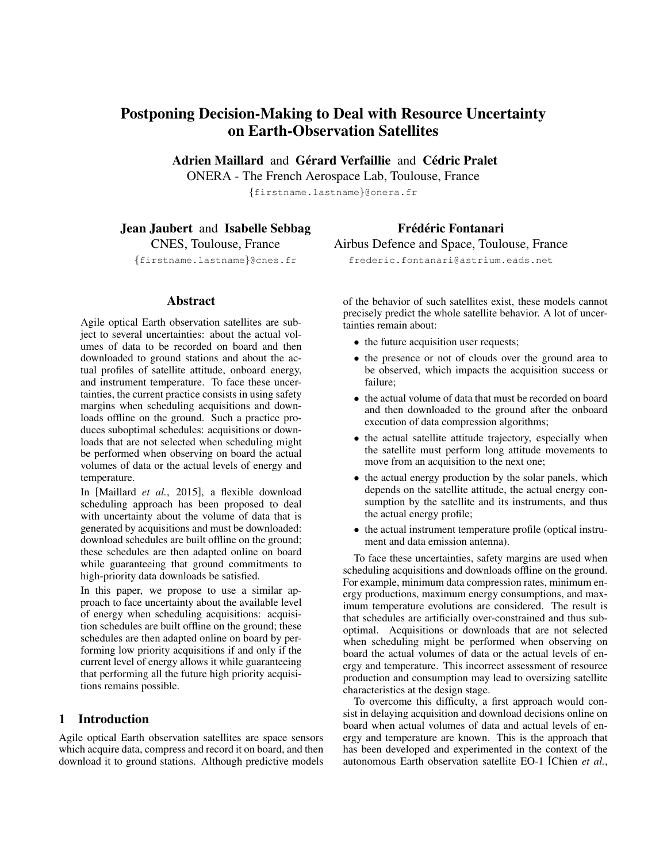# Postponing Decision-Making to Deal with Resource Uncertainty on Earth-Observation Satellites

Adrien Maillard and Gérard Verfaillie and Cédric Pralet

ONERA - The French Aerospace Lab, Toulouse, France

{firstname.lastname}@onera.fr

## Jean Jaubert and Isabelle Sebbag

CNES, Toulouse, France

{firstname.lastname}@cnes.fr

#### Abstract

Agile optical Earth observation satellites are subject to several uncertainties: about the actual volumes of data to be recorded on board and then downloaded to ground stations and about the actual profiles of satellite attitude, onboard energy, and instrument temperature. To face these uncertainties, the current practice consists in using safety margins when scheduling acquisitions and downloads offline on the ground. Such a practice produces suboptimal schedules: acquisitions or downloads that are not selected when scheduling might be performed when observing on board the actual volumes of data or the actual levels of energy and temperature.

In [Maillard *et al.*, 2015], a flexible download scheduling approach has been proposed to deal with uncertainty about the volume of data that is generated by acquisitions and must be downloaded: download schedules are built offline on the ground; these schedules are then adapted online on board while guaranteeing that ground commitments to high-priority data downloads be satisfied.

In this paper, we propose to use a similar approach to face uncertainty about the available level of energy when scheduling acquisitions: acquisition schedules are built offline on the ground; these schedules are then adapted online on board by performing low priority acquisitions if and only if the current level of energy allows it while guaranteeing that performing all the future high priority acquisitions remains possible.

## 1 Introduction

Agile optical Earth observation satellites are space sensors which acquire data, compress and record it on board, and then download it to ground stations. Although predictive models of the behavior of such satellites exist, these models cannot precisely predict the whole satellite behavior. A lot of uncertainties remain about:

- the future acquisition user requests;
- the presence or not of clouds over the ground area to be observed, which impacts the acquisition success or failure;
- the actual volume of data that must be recorded on board and then downloaded to the ground after the onboard execution of data compression algorithms;
- the actual satellite attitude trajectory, especially when the satellite must perform long attitude movements to move from an acquisition to the next one;
- the actual energy production by the solar panels, which depends on the satellite attitude, the actual energy consumption by the satellite and its instruments, and thus the actual energy profile;
- the actual instrument temperature profile (optical instrument and data emission antenna).

To face these uncertainties, safety margins are used when scheduling acquisitions and downloads offline on the ground. For example, minimum data compression rates, minimum energy productions, maximum energy consumptions, and maximum temperature evolutions are considered. The result is that schedules are artificially over-constrained and thus suboptimal. Acquisitions or downloads that are not selected when scheduling might be performed when observing on board the actual volumes of data or the actual levels of energy and temperature. This incorrect assessment of resource production and consumption may lead to oversizing satellite characteristics at the design stage.

To overcome this difficulty, a first approach would consist in delaying acquisition and download decisions online on board when actual volumes of data and actual levels of energy and temperature are known. This is the approach that has been developed and experimented in the context of the autonomous Earth observation satellite EO-1 [Chien *et al.*,

# Frédéric Fontanari

Airbus Defence and Space, Toulouse, France frederic.fontanari@astrium.eads.net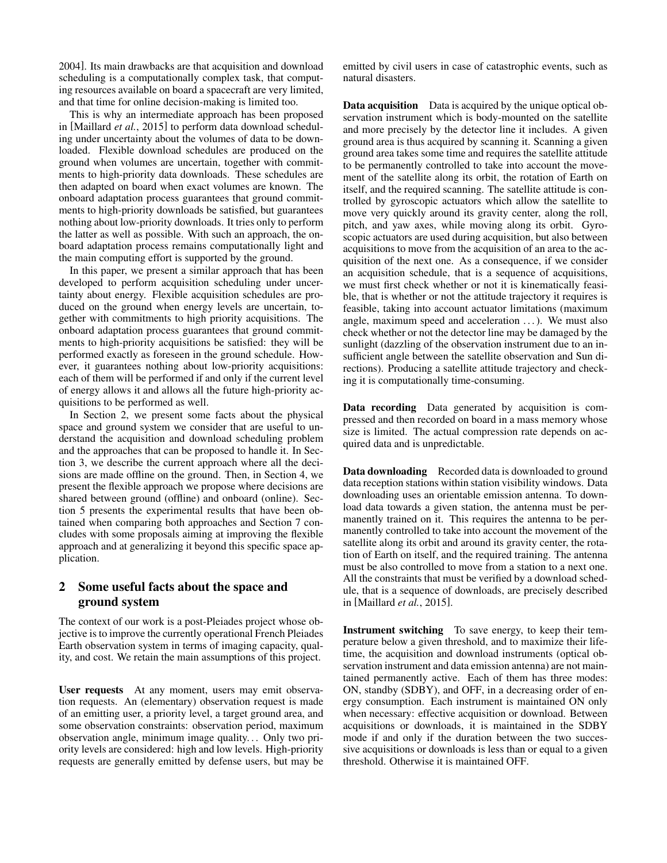2004]. Its main drawbacks are that acquisition and download scheduling is a computationally complex task, that computing resources available on board a spacecraft are very limited, and that time for online decision-making is limited too.

This is why an intermediate approach has been proposed in [Maillard *et al.*, 2015] to perform data download scheduling under uncertainty about the volumes of data to be downloaded. Flexible download schedules are produced on the ground when volumes are uncertain, together with commitments to high-priority data downloads. These schedules are then adapted on board when exact volumes are known. The onboard adaptation process guarantees that ground commitments to high-priority downloads be satisfied, but guarantees nothing about low-priority downloads. It tries only to perform the latter as well as possible. With such an approach, the onboard adaptation process remains computationally light and the main computing effort is supported by the ground.

In this paper, we present a similar approach that has been developed to perform acquisition scheduling under uncertainty about energy. Flexible acquisition schedules are produced on the ground when energy levels are uncertain, together with commitments to high priority acquisitions. The onboard adaptation process guarantees that ground commitments to high-priority acquisitions be satisfied: they will be performed exactly as foreseen in the ground schedule. However, it guarantees nothing about low-priority acquisitions: each of them will be performed if and only if the current level of energy allows it and allows all the future high-priority acquisitions to be performed as well.

In Section 2, we present some facts about the physical space and ground system we consider that are useful to understand the acquisition and download scheduling problem and the approaches that can be proposed to handle it. In Section 3, we describe the current approach where all the decisions are made offline on the ground. Then, in Section 4, we present the flexible approach we propose where decisions are shared between ground (offline) and onboard (online). Section 5 presents the experimental results that have been obtained when comparing both approaches and Section 7 concludes with some proposals aiming at improving the flexible approach and at generalizing it beyond this specific space application.

## 2 Some useful facts about the space and ground system

The context of our work is a post-Pleiades project whose objective is to improve the currently operational French Pleiades Earth observation system in terms of imaging capacity, quality, and cost. We retain the main assumptions of this project.

User requests At any moment, users may emit observation requests. An (elementary) observation request is made of an emitting user, a priority level, a target ground area, and some observation constraints: observation period, maximum observation angle, minimum image quality. . . Only two priority levels are considered: high and low levels. High-priority requests are generally emitted by defense users, but may be emitted by civil users in case of catastrophic events, such as natural disasters.

Data acquisition Data is acquired by the unique optical observation instrument which is body-mounted on the satellite and more precisely by the detector line it includes. A given ground area is thus acquired by scanning it. Scanning a given ground area takes some time and requires the satellite attitude to be permanently controlled to take into account the movement of the satellite along its orbit, the rotation of Earth on itself, and the required scanning. The satellite attitude is controlled by gyroscopic actuators which allow the satellite to move very quickly around its gravity center, along the roll, pitch, and yaw axes, while moving along its orbit. Gyroscopic actuators are used during acquisition, but also between acquisitions to move from the acquisition of an area to the acquisition of the next one. As a consequence, if we consider an acquisition schedule, that is a sequence of acquisitions, we must first check whether or not it is kinematically feasible, that is whether or not the attitude trajectory it requires is feasible, taking into account actuator limitations (maximum angle, maximum speed and acceleration . . . ). We must also check whether or not the detector line may be damaged by the sunlight (dazzling of the observation instrument due to an insufficient angle between the satellite observation and Sun directions). Producing a satellite attitude trajectory and checking it is computationally time-consuming.

Data recording Data generated by acquisition is compressed and then recorded on board in a mass memory whose size is limited. The actual compression rate depends on acquired data and is unpredictable.

Data downloading Recorded data is downloaded to ground data reception stations within station visibility windows. Data downloading uses an orientable emission antenna. To download data towards a given station, the antenna must be permanently trained on it. This requires the antenna to be permanently controlled to take into account the movement of the satellite along its orbit and around its gravity center, the rotation of Earth on itself, and the required training. The antenna must be also controlled to move from a station to a next one. All the constraints that must be verified by a download schedule, that is a sequence of downloads, are precisely described in [Maillard *et al.*, 2015].

Instrument switching To save energy, to keep their temperature below a given threshold, and to maximize their lifetime, the acquisition and download instruments (optical observation instrument and data emission antenna) are not maintained permanently active. Each of them has three modes: ON, standby (SDBY), and OFF, in a decreasing order of energy consumption. Each instrument is maintained ON only when necessary: effective acquisition or download. Between acquisitions or downloads, it is maintained in the SDBY mode if and only if the duration between the two successive acquisitions or downloads is less than or equal to a given threshold. Otherwise it is maintained OFF.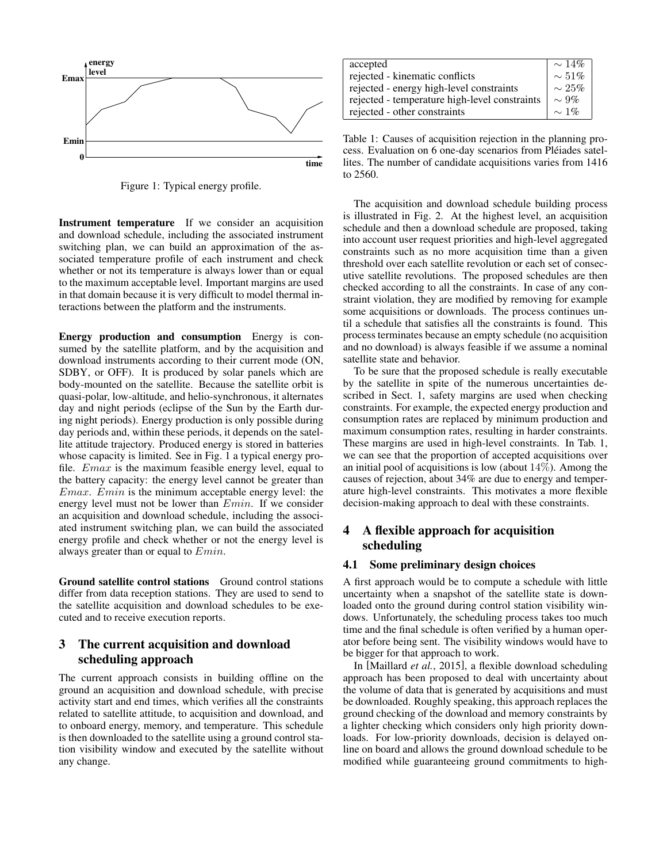

Figure 1: Typical energy profile.

Instrument temperature If we consider an acquisition and download schedule, including the associated instrument switching plan, we can build an approximation of the associated temperature profile of each instrument and check whether or not its temperature is always lower than or equal to the maximum acceptable level. Important margins are used in that domain because it is very difficult to model thermal interactions between the platform and the instruments.

Energy production and consumption Energy is consumed by the satellite platform, and by the acquisition and download instruments according to their current mode (ON, SDBY, or OFF). It is produced by solar panels which are body-mounted on the satellite. Because the satellite orbit is quasi-polar, low-altitude, and helio-synchronous, it alternates day and night periods (eclipse of the Sun by the Earth during night periods). Energy production is only possible during day periods and, within these periods, it depends on the satellite attitude trajectory. Produced energy is stored in batteries whose capacity is limited. See in Fig. 1 a typical energy profile. Emax is the maximum feasible energy level, equal to the battery capacity: the energy level cannot be greater than  $Emax$ .  $Emin$  is the minimum acceptable energy level: the energy level must not be lower than Emin. If we consider an acquisition and download schedule, including the associated instrument switching plan, we can build the associated energy profile and check whether or not the energy level is always greater than or equal to  $Emin$ .

Ground satellite control stations Ground control stations differ from data reception stations. They are used to send to the satellite acquisition and download schedules to be executed and to receive execution reports.

## 3 The current acquisition and download scheduling approach

The current approach consists in building offline on the ground an acquisition and download schedule, with precise activity start and end times, which verifies all the constraints related to satellite attitude, to acquisition and download, and to onboard energy, memory, and temperature. This schedule is then downloaded to the satellite using a ground control station visibility window and executed by the satellite without any change.

| accepted                                      | $\sim 14\%$ |
|-----------------------------------------------|-------------|
| rejected - kinematic conflicts                | $\sim 51\%$ |
| rejected - energy high-level constraints      | $\sim 25\%$ |
| rejected - temperature high-level constraints | $\sim 9\%$  |
| rejected - other constraints                  | $\sim$ 1%   |
|                                               |             |

Table 1: Causes of acquisition rejection in the planning process. Evaluation on 6 one-day scenarios from Pléiades satellites. The number of candidate acquisitions varies from 1416 to 2560.

The acquisition and download schedule building process is illustrated in Fig. 2. At the highest level, an acquisition schedule and then a download schedule are proposed, taking into account user request priorities and high-level aggregated constraints such as no more acquisition time than a given threshold over each satellite revolution or each set of consecutive satellite revolutions. The proposed schedules are then checked according to all the constraints. In case of any constraint violation, they are modified by removing for example some acquisitions or downloads. The process continues until a schedule that satisfies all the constraints is found. This process terminates because an empty schedule (no acquisition and no download) is always feasible if we assume a nominal satellite state and behavior.

To be sure that the proposed schedule is really executable by the satellite in spite of the numerous uncertainties described in Sect. 1, safety margins are used when checking constraints. For example, the expected energy production and consumption rates are replaced by minimum production and maximum consumption rates, resulting in harder constraints. These margins are used in high-level constraints. In Tab. 1, we can see that the proportion of accepted acquisitions over an initial pool of acquisitions is low (about  $14\%$ ). Among the causes of rejection, about 34% are due to energy and temperature high-level constraints. This motivates a more flexible decision-making approach to deal with these constraints.

## 4 A flexible approach for acquisition scheduling

### 4.1 Some preliminary design choices

A first approach would be to compute a schedule with little uncertainty when a snapshot of the satellite state is downloaded onto the ground during control station visibility windows. Unfortunately, the scheduling process takes too much time and the final schedule is often verified by a human operator before being sent. The visibility windows would have to be bigger for that approach to work.

In [Maillard *et al.*, 2015], a flexible download scheduling approach has been proposed to deal with uncertainty about the volume of data that is generated by acquisitions and must be downloaded. Roughly speaking, this approach replaces the ground checking of the download and memory constraints by a lighter checking which considers only high priority downloads. For low-priority downloads, decision is delayed online on board and allows the ground download schedule to be modified while guaranteeing ground commitments to high-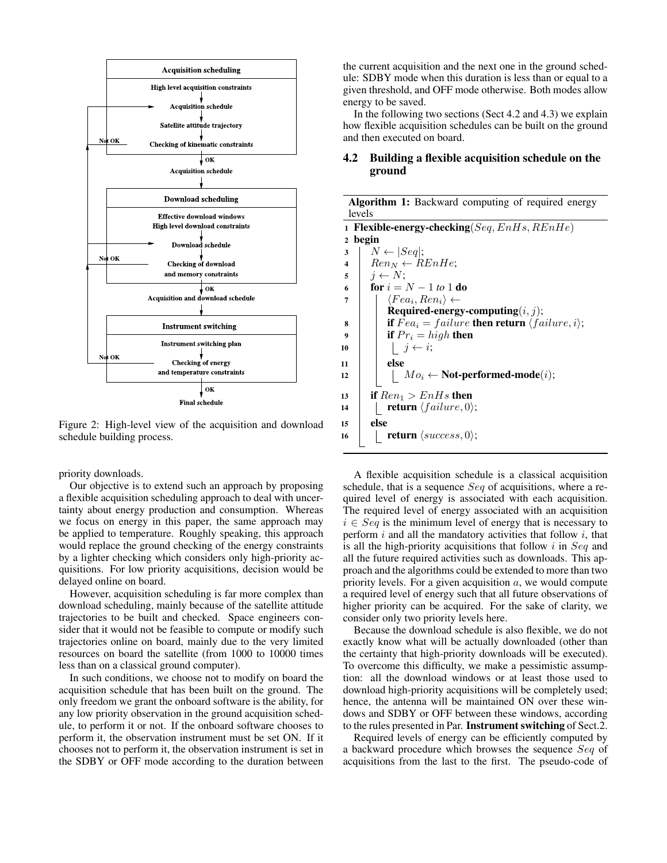

Figure 2: High-level view of the acquisition and download schedule building process.

priority downloads.

Our objective is to extend such an approach by proposing a flexible acquisition scheduling approach to deal with uncertainty about energy production and consumption. Whereas we focus on energy in this paper, the same approach may be applied to temperature. Roughly speaking, this approach would replace the ground checking of the energy constraints by a lighter checking which considers only high-priority acquisitions. For low priority acquisitions, decision would be delayed online on board.

However, acquisition scheduling is far more complex than download scheduling, mainly because of the satellite attitude trajectories to be built and checked. Space engineers consider that it would not be feasible to compute or modify such trajectories online on board, mainly due to the very limited resources on board the satellite (from 1000 to 10000 times less than on a classical ground computer).

In such conditions, we choose not to modify on board the acquisition schedule that has been built on the ground. The only freedom we grant the onboard software is the ability, for any low priority observation in the ground acquisition schedule, to perform it or not. If the onboard software chooses to perform it, the observation instrument must be set ON. If it chooses not to perform it, the observation instrument is set in the SDBY or OFF mode according to the duration between

the current acquisition and the next one in the ground schedule: SDBY mode when this duration is less than or equal to a given threshold, and OFF mode otherwise. Both modes allow energy to be saved.

In the following two sections (Sect 4.2 and 4.3) we explain how flexible acquisition schedules can be built on the ground and then executed on board.

#### 4.2 Building a flexible acquisition schedule on the ground

| Algorithm 1: Backward computing of required energy                                 |  |  |  |  |  |
|------------------------------------------------------------------------------------|--|--|--|--|--|
| levels                                                                             |  |  |  |  |  |
| 1 Flexible-energy-checking $\left(Seq, EnHs, REnHe\right)$                         |  |  |  |  |  |
| begin<br>$\overline{2}$                                                            |  |  |  |  |  |
| $N \leftarrow  Seq $ ;<br>3                                                        |  |  |  |  |  |
| $\vert$ Ren <sub>N</sub> $\leftarrow$ REnHe;<br>$\overline{\mathbf{4}}$            |  |  |  |  |  |
| $i \leftarrow N$<br>5                                                              |  |  |  |  |  |
| <b>for</b> $i = N - 1$ to 1 <b>do</b><br>6                                         |  |  |  |  |  |
| $\langle Fea_i, Ren_i \rangle \leftarrow$<br>7                                     |  |  |  |  |  |
| Required-energy-computing $(i, j)$ ;                                               |  |  |  |  |  |
| <b>if</b> $Fea_i = failure$ <b>then return</b> $\langle failure, i \rangle$ ;<br>8 |  |  |  |  |  |
| <b>if</b> $Pr_i = high$ then<br>9                                                  |  |  |  |  |  |
| $\vert j \leftarrow i;$<br>10                                                      |  |  |  |  |  |
| else<br>11                                                                         |  |  |  |  |  |
| $Mo_i \leftarrow$ Not-performed-mode( <i>i</i> );<br>12                            |  |  |  |  |  |
| if $Ren_1 > EnHs$ then<br>13                                                       |  |  |  |  |  |
| <b>return</b> $\langle failure, 0 \rangle$ ;<br>14                                 |  |  |  |  |  |
| else<br>15                                                                         |  |  |  |  |  |
| <b>return</b> $\langle success, 0 \rangle$ ;<br>16                                 |  |  |  |  |  |
|                                                                                    |  |  |  |  |  |

A flexible acquisition schedule is a classical acquisition schedule, that is a sequence Seq of acquisitions, where a required level of energy is associated with each acquisition. The required level of energy associated with an acquisition  $i \in \text{Seq}$  is the minimum level of energy that is necessary to perform  $i$  and all the mandatory activities that follow  $i$ , that is all the high-priority acquisitions that follow  $i$  in  $Seq$  and all the future required activities such as downloads. This approach and the algorithms could be extended to more than two priority levels. For a given acquisition  $a$ , we would compute a required level of energy such that all future observations of higher priority can be acquired. For the sake of clarity, we consider only two priority levels here.

Because the download schedule is also flexible, we do not exactly know what will be actually downloaded (other than the certainty that high-priority downloads will be executed). To overcome this difficulty, we make a pessimistic assumption: all the download windows or at least those used to download high-priority acquisitions will be completely used; hence, the antenna will be maintained ON over these windows and SDBY or OFF between these windows, according to the rules presented in Par. Instrument switching of Sect.2.

Required levels of energy can be efficiently computed by a backward procedure which browses the sequence Seq of acquisitions from the last to the first. The pseudo-code of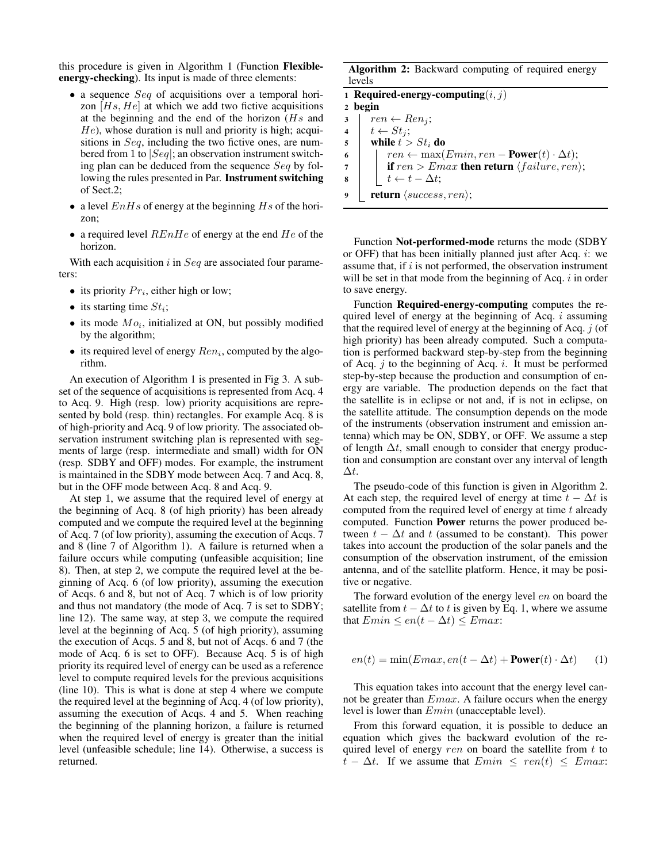this procedure is given in Algorithm 1 (Function Flexibleenergy-checking). Its input is made of three elements:

- a sequence  $Seq$  of acquisitions over a temporal horizon  $[Hs, He]$  at which we add two fictive acquisitions at the beginning and the end of the horizon  $(Hs)$  and  $He$ ), whose duration is null and priority is high; acquisitions in Seq, including the two fictive ones, are numbered from 1 to  $|Seq|$ ; an observation instrument switching plan can be deduced from the sequence Seq by following the rules presented in Par. Instrument switching of Sect.2;
- a level  $EnHs$  of energy at the beginning  $Hs$  of the horizon;
- a required level  $REnHe$  of energy at the end  $He$  of the horizon.

With each acquisition  $i$  in  $Seq$  are associated four parameters:

- its priority  $Pr_i$ , either high or low;
- its starting time  $St_i$ ;
- its mode  $Mo_i$ , initialized at ON, but possibly modified by the algorithm;
- its required level of energy  $Ren_i$ , computed by the algorithm.

An execution of Algorithm 1 is presented in Fig 3. A subset of the sequence of acquisitions is represented from Acq. 4 to Acq. 9. High (resp. low) priority acquisitions are represented by bold (resp. thin) rectangles. For example Acq. 8 is of high-priority and Acq. 9 of low priority. The associated observation instrument switching plan is represented with segments of large (resp. intermediate and small) width for ON (resp. SDBY and OFF) modes. For example, the instrument is maintained in the SDBY mode between Acq. 7 and Acq. 8, but in the OFF mode between Acq. 8 and Acq. 9.

At step 1, we assume that the required level of energy at the beginning of Acq. 8 (of high priority) has been already computed and we compute the required level at the beginning of Acq. 7 (of low priority), assuming the execution of Acqs. 7 and 8 (line 7 of Algorithm 1). A failure is returned when a failure occurs while computing (unfeasible acquisition; line 8). Then, at step 2, we compute the required level at the beginning of Acq. 6 (of low priority), assuming the execution of Acqs. 6 and 8, but not of Acq. 7 which is of low priority and thus not mandatory (the mode of Acq. 7 is set to SDBY; line 12). The same way, at step 3, we compute the required level at the beginning of Acq. 5 (of high priority), assuming the execution of Acqs. 5 and 8, but not of Acqs. 6 and 7 (the mode of Acq. 6 is set to OFF). Because Acq. 5 is of high priority its required level of energy can be used as a reference level to compute required levels for the previous acquisitions (line 10). This is what is done at step 4 where we compute the required level at the beginning of Acq. 4 (of low priority), assuming the execution of Acqs. 4 and 5. When reaching the beginning of the planning horizon, a failure is returned when the required level of energy is greater than the initial level (unfeasible schedule; line 14). Otherwise, a success is returned.

Algorithm 2: Backward computing of required energy levels

|                         | 1 Required-energy-computing $(i, j)$                         |  |  |  |  |  |  |
|-------------------------|--------------------------------------------------------------|--|--|--|--|--|--|
| 2 begin                 |                                                              |  |  |  |  |  |  |
| 3                       | $ren \leftarrow Ren_j;$                                      |  |  |  |  |  |  |
| $\overline{\mathbf{4}}$ | $t \leftarrow St_j;$                                         |  |  |  |  |  |  |
| $\sqrt{5}$              | while $t > St_i$ do                                          |  |  |  |  |  |  |
| 6                       | $ren \leftarrow \max(Emin, ren - Power(t) \cdot \Delta t);$  |  |  |  |  |  |  |
| 7                       | if $ren > Emax$ then return $\langle failure, ren \rangle$ ; |  |  |  |  |  |  |
| 8                       | $t \leftarrow t - \Delta t;$                                 |  |  |  |  |  |  |
| 9                       | <b>return</b> $\langle success, ren \rangle$ ;               |  |  |  |  |  |  |

Function Not-performed-mode returns the mode (SDBY or OFF) that has been initially planned just after Acq.  $i$ : we assume that, if  $i$  is not performed, the observation instrument will be set in that mode from the beginning of Acq.  $i$  in order to save energy.

Function Required-energy-computing computes the required level of energy at the beginning of Acq.  $i$  assuming that the required level of energy at the beginning of Acq.  $j$  (of high priority) has been already computed. Such a computation is performed backward step-by-step from the beginning of Acq.  $j$  to the beginning of Acq.  $i$ . It must be performed step-by-step because the production and consumption of energy are variable. The production depends on the fact that the satellite is in eclipse or not and, if is not in eclipse, on the satellite attitude. The consumption depends on the mode of the instruments (observation instrument and emission antenna) which may be ON, SDBY, or OFF. We assume a step of length  $\Delta t$ , small enough to consider that energy production and consumption are constant over any interval of length ∆t.

The pseudo-code of this function is given in Algorithm 2. At each step, the required level of energy at time  $t - \Delta t$  is computed from the required level of energy at time  $t$  already computed. Function Power returns the power produced between  $t - \Delta t$  and t (assumed to be constant). This power takes into account the production of the solar panels and the consumption of the observation instrument, of the emission antenna, and of the satellite platform. Hence, it may be positive or negative.

The forward evolution of the energy level en on board the satellite from  $t - \Delta t$  to t is given by Eq. 1, where we assume that  $Emin \leq en(t - \Delta t) \leq Emax$ :

$$
en(t) = \min(Emax, en(t - \Delta t) + \text{Power}(t) \cdot \Delta t)
$$
 (1)

This equation takes into account that the energy level cannot be greater than  $Emax$ . A failure occurs when the energy level is lower than Emin (unacceptable level).

From this forward equation, it is possible to deduce an equation which gives the backward evolution of the required level of energy ren on board the satellite from  $t$  to  $t - \Delta t$ . If we assume that  $Emin \leq ren(t) \leq Emax$ :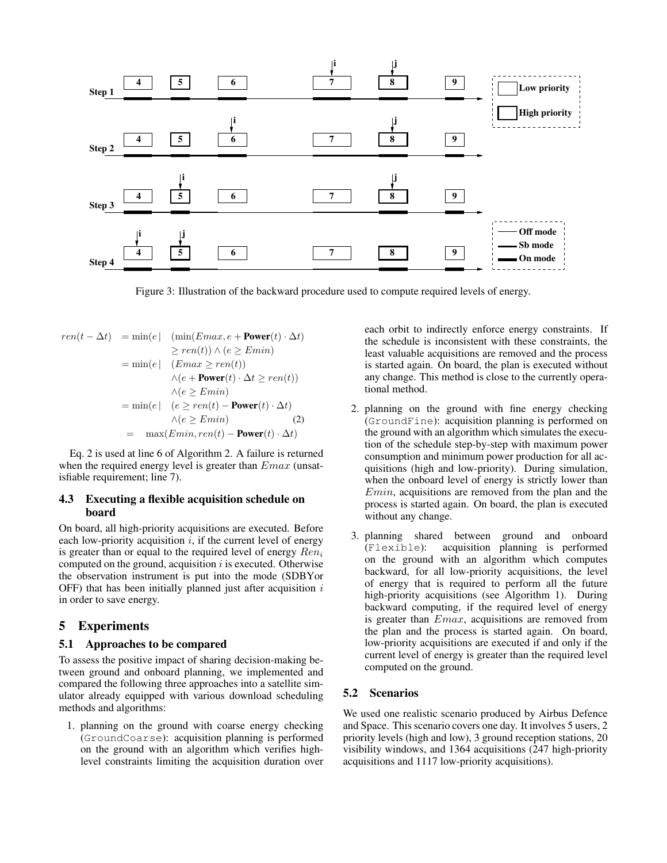

Figure 3: Illustration of the backward procedure used to compute required levels of energy.

$$
ren(t - \Delta t) = \min(e \mid (\min(Emax, e + \text{Power}(t) \cdot \Delta t))
$$
  
\n
$$
\geq ren(t)) \land (e \geq Emin)
$$
  
\n
$$
= \min(e \mid (Emax \geq ren(t))
$$
  
\n
$$
\land (e + \text{Power}(t) \cdot \Delta t \geq ren(t))
$$
  
\n
$$
\land (e \geq Emin)
$$
  
\n
$$
= \min(e \mid (e \geq ren(t) - \text{Power}(t) \cdot \Delta t)
$$
  
\n
$$
\land (e \geq Emin) \qquad (2)
$$
  
\n
$$
= \max(Emin, ren(t) - \text{Power}(t) \cdot \Delta t)
$$

Eq. 2 is used at line 6 of Algorithm 2. A failure is returned when the required energy level is greater than  $Emax$  (unsatisfiable requirement; line 7).

#### 4.3 Executing a flexible acquisition schedule on board

On board, all high-priority acquisitions are executed. Before each low-priority acquisition  $i$ , if the current level of energy is greater than or equal to the required level of energy  $Ren_i$ computed on the ground, acquisition  $i$  is executed. Otherwise the observation instrument is put into the mode (SDBYor OFF) that has been initially planned just after acquisition  $i$ in order to save energy.

#### 5 Experiments

#### 5.1 Approaches to be compared

To assess the positive impact of sharing decision-making between ground and onboard planning, we implemented and compared the following three approaches into a satellite simulator already equipped with various download scheduling methods and algorithms:

1. planning on the ground with coarse energy checking (GroundCoarse): acquisition planning is performed on the ground with an algorithm which verifies highlevel constraints limiting the acquisition duration over each orbit to indirectly enforce energy constraints. If the schedule is inconsistent with these constraints, the least valuable acquisitions are removed and the process is started again. On board, the plan is executed without any change. This method is close to the currently operational method.

- 2. planning on the ground with fine energy checking (GroundFine): acquisition planning is performed on the ground with an algorithm which simulates the execution of the schedule step-by-step with maximum power consumption and minimum power production for all acquisitions (high and low-priority). During simulation, when the onboard level of energy is strictly lower than Emin, acquisitions are removed from the plan and the process is started again. On board, the plan is executed without any change.
- 3. planning shared between ground and onboard (Flexible): acquisition planning is performed on the ground with an algorithm which computes backward, for all low-priority acquisitions, the level of energy that is required to perform all the future high-priority acquisitions (see Algorithm 1). During backward computing, if the required level of energy is greater than Emax, acquisitions are removed from the plan and the process is started again. On board, low-priority acquisitions are executed if and only if the current level of energy is greater than the required level computed on the ground.

#### 5.2 Scenarios

We used one realistic scenario produced by Airbus Defence and Space. This scenario covers one day. It involves 5 users, 2 priority levels (high and low), 3 ground reception stations, 20 visibility windows, and 1364 acquisitions (247 high-priority acquisitions and 1117 low-priority acquisitions).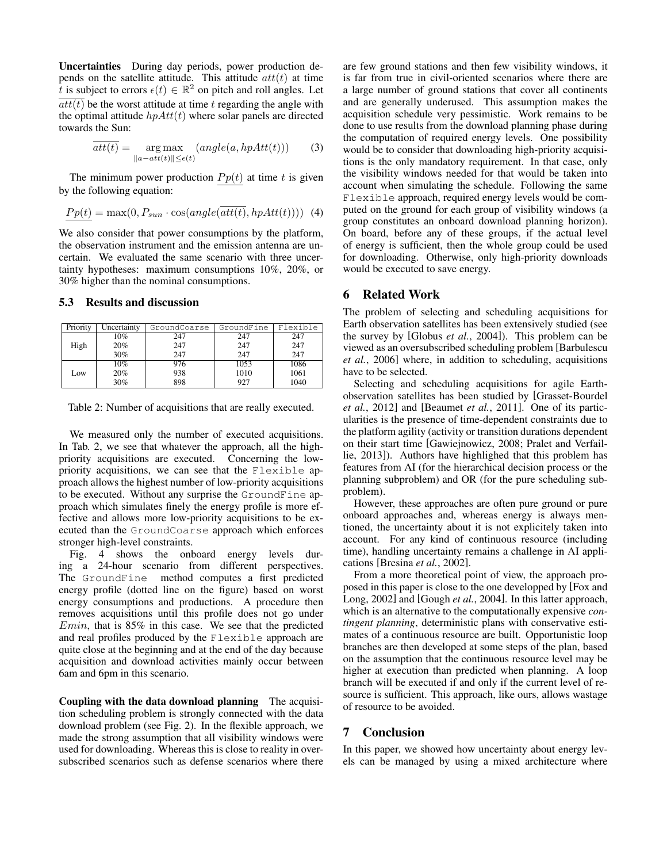Uncertainties During day periods, power production depends on the satellite attitude. This attitude  $att(t)$  at time t is subject to errors  $\epsilon(t) \in \mathbb{R}^2$  on pitch and roll angles. Let  $\overline{att(t)}$  be the worst attitude at time t regarding the angle with the optimal attitude  $h\hat{p}Att(t)$  where solar panels are directed towards the Sun:

$$
\overline{att(t)} = \underset{\|a - att(t)\| \le \epsilon(t)}{\arg \max} (angle(a, hpAtt(t))) \tag{3}
$$

The minimum power production  $P p(t)$  at time t is given by the following equation:

$$
\underline{Pp(t)} = \max(0, P_{sun} \cdot \cos(\text{angle}(\overline{att(t)}, \text{hpAtt}(t)))) \tag{4}
$$

We also consider that power consumptions by the platform, the observation instrument and the emission antenna are uncertain. We evaluated the same scenario with three uncertainty hypotheses: maximum consumptions 10%, 20%, or 30% higher than the nominal consumptions.

#### 5.3 Results and discussion

| Priority | Uncertainty | GroundCoarse | GroundFine | Flexible |
|----------|-------------|--------------|------------|----------|
|          | $10\%$      | 247          | 247        | 247      |
| High     | 20%         | 247          | 247        | 247      |
|          | 30%         | 247          | 247        | 247      |
|          | 10%         | 976          | 1053       | 1086     |
| Low      | 20%         | 938          | 1010       | 1061     |
|          | 30%         | 898          | 927        | 1040     |

Table 2: Number of acquisitions that are really executed.

We measured only the number of executed acquisitions. In Tab. 2, we see that whatever the approach, all the highpriority acquisitions are executed. Concerning the lowpriority acquisitions, we can see that the Flexible approach allows the highest number of low-priority acquisitions to be executed. Without any surprise the GroundFine approach which simulates finely the energy profile is more effective and allows more low-priority acquisitions to be executed than the GroundCoarse approach which enforces stronger high-level constraints.

Fig. 4 shows the onboard energy levels during a 24-hour scenario from different perspectives. The GroundFine method computes a first predicted energy profile (dotted line on the figure) based on worst energy consumptions and productions. A procedure then removes acquisitions until this profile does not go under  $Emin$ , that is 85% in this case. We see that the predicted and real profiles produced by the Flexible approach are quite close at the beginning and at the end of the day because acquisition and download activities mainly occur between 6am and 6pm in this scenario.

Coupling with the data download planning The acquisition scheduling problem is strongly connected with the data download problem (see Fig. 2). In the flexible approach, we made the strong assumption that all visibility windows were used for downloading. Whereas this is close to reality in oversubscribed scenarios such as defense scenarios where there are few ground stations and then few visibility windows, it is far from true in civil-oriented scenarios where there are a large number of ground stations that cover all continents and are generally underused. This assumption makes the acquisition schedule very pessimistic. Work remains to be done to use results from the download planning phase during the computation of required energy levels. One possibility would be to consider that downloading high-priority acquisitions is the only mandatory requirement. In that case, only the visibility windows needed for that would be taken into account when simulating the schedule. Following the same Flexible approach, required energy levels would be computed on the ground for each group of visibility windows (a group constitutes an onboard download planning horizon). On board, before any of these groups, if the actual level of energy is sufficient, then the whole group could be used for downloading. Otherwise, only high-priority downloads would be executed to save energy.

#### 6 Related Work

The problem of selecting and scheduling acquisitions for Earth observation satellites has been extensively studied (see the survey by [Globus *et al.*, 2004]). This problem can be viewed as an oversubscribed scheduling problem [Barbulescu *et al.*, 2006] where, in addition to scheduling, acquisitions have to be selected.

Selecting and scheduling acquisitions for agile Earthobservation satellites has been studied by [Grasset-Bourdel *et al.*, 2012] and [Beaumet *et al.*, 2011]. One of its particularities is the presence of time-dependent constraints due to the platform agility (activity or transition durations dependent on their start time [Gawiejnowicz, 2008; Pralet and Verfaillie, 2013]). Authors have highlighed that this problem has features from AI (for the hierarchical decision process or the planning subproblem) and OR (for the pure scheduling subproblem).

However, these approaches are often pure ground or pure onboard approaches and, whereas energy is always mentioned, the uncertainty about it is not explicitely taken into account. For any kind of continuous resource (including time), handling uncertainty remains a challenge in AI applications [Bresina *et al.*, 2002].

From a more theoretical point of view, the approach proposed in this paper is close to the one developped by [Fox and Long, 2002] and [Gough *et al.*, 2004]. In this latter approach, which is an alternative to the computationally expensive *contingent planning*, deterministic plans with conservative estimates of a continuous resource are built. Opportunistic loop branches are then developed at some steps of the plan, based on the assumption that the continuous resource level may be higher at execution than predicted when planning. A loop branch will be executed if and only if the current level of resource is sufficient. This approach, like ours, allows wastage of resource to be avoided.

#### 7 Conclusion

In this paper, we showed how uncertainty about energy levels can be managed by using a mixed architecture where